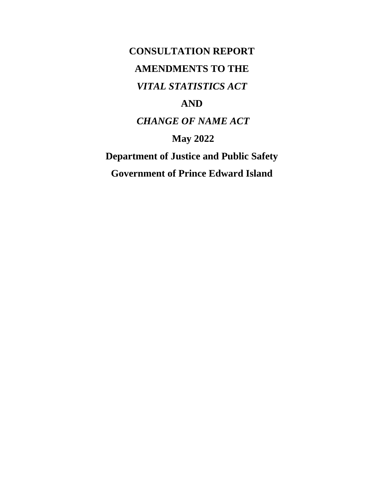**CONSULTATION REPORT AMENDMENTS TO THE**  *VITAL STATISTICS ACT* **AND** *CHANGE OF NAME ACT* **May 2022**

**Department of Justice and Public Safety Government of Prince Edward Island**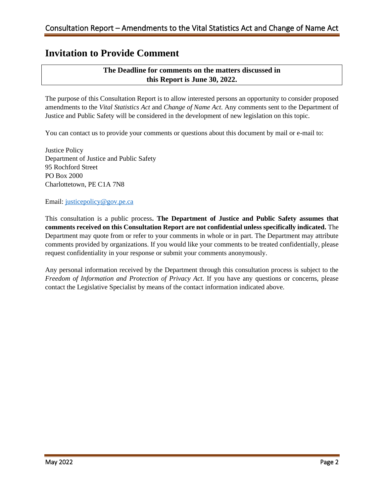### **Invitation to Provide Comment**

### **The Deadline for comments on the matters discussed in this Report is June 30, 2022.**

The purpose of this Consultation Report is to allow interested persons an opportunity to consider proposed amendments to the *Vital Statistics Act* and *Change of Name Act*. Any comments sent to the Department of Justice and Public Safety will be considered in the development of new legislation on this topic.

You can contact us to provide your comments or questions about this document by mail or e-mail to:

Justice Policy Department of Justice and Public Safety 95 Rochford Street PO Box 2000 Charlottetown, PE C1A 7N8

Email: [justicepolicy@gov.pe.ca](mailto:justicepolicy@gov.pe.ca)

This consultation is a public process**. The Department of Justice and Public Safety assumes that comments received on this Consultation Report are not confidential unless specifically indicated.** The Department may quote from or refer to your comments in whole or in part. The Department may attribute comments provided by organizations. If you would like your comments to be treated confidentially, please request confidentiality in your response or submit your comments anonymously.

Any personal information received by the Department through this consultation process is subject to the *Freedom of Information and Protection of Privacy Act*. If you have any questions or concerns, please contact the Legislative Specialist by means of the contact information indicated above.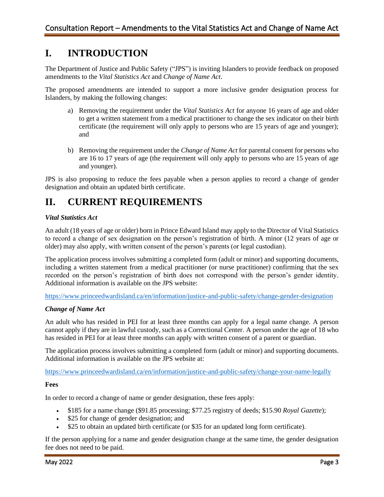### **I. INTRODUCTION**

The Department of Justice and Public Safety ("JPS") is inviting Islanders to provide feedback on proposed amendments to the *Vital Statistics Act* and *Change of Name Act*.

The proposed amendments are intended to support a more inclusive gender designation process for Islanders, by making the following changes:

- a) Removing the requirement under the *Vital Statistics Act* for anyone 16 years of age and older to get a written statement from a medical practitioner to change the sex indicator on their birth certificate (the requirement will only apply to persons who are 15 years of age and younger); and
- b) Removing the requirement under the *Change of Name Act* for parental consent for persons who are 16 to 17 years of age (the requirement will only apply to persons who are 15 years of age and younger).

JPS is also proposing to reduce the fees payable when a person applies to record a change of gender designation and obtain an updated birth certificate.

# **II. CURRENT REQUIREMENTS**

### *Vital Statistics Act*

An adult (18 years of age or older) born in Prince Edward Island may apply to the Director of Vital Statistics to record a change of sex designation on the person's registration of birth. A minor (12 years of age or older) may also apply, with written consent of the person's parents (or legal custodian).

The application process involves submitting a completed form (adult or minor) and supporting documents, including a written statement from a medical practitioner (or nurse practitioner) confirming that the sex recorded on the person's registration of birth does not correspond with the person's gender identity. Additional information is available on the JPS website:

<https://www.princeedwardisland.ca/en/information/justice-and-public-safety/change-gender-designation>

#### *Change of Name Act*

An adult who has resided in PEI for at least three months can apply for a legal name change. A person cannot apply if they are in lawful custody, such as a Correctional Center. A person under the age of 18 who has resided in PEI for at least three months can apply with written consent of a parent or guardian.

The application process involves submitting a completed form (adult or minor) and supporting documents. Additional information is available on the JPS website at:

<https://www.princeedwardisland.ca/en/information/justice-and-public-safety/change-your-name-legally>

#### **Fees**

In order to record a change of name or gender designation, these fees apply:

- \$185 for a name change (\$91.85 processing; \$77.25 registry of deeds; \$15.90 *Royal Gazette*);
- \$25 for change of gender designation; and
- \$25 to obtain an updated birth certificate (or \$35 for an updated long form certificate).

If the person applying for a name and gender designation change at the same time, the gender designation fee does not need to be paid.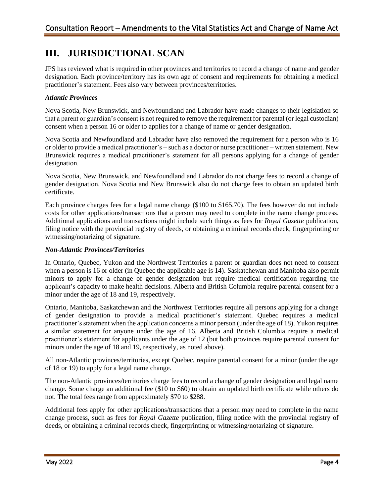## **III. JURISDICTIONAL SCAN**

JPS has reviewed what is required in other provinces and territories to record a change of name and gender designation. Each province/territory has its own age of consent and requirements for obtaining a medical practitioner's statement. Fees also vary between provinces/territories.

### *Atlantic Provinces*

Nova Scotia, New Brunswick, and Newfoundland and Labrador have made changes to their legislation so that a parent or guardian's consent is not required to remove the requirement for parental (or legal custodian) consent when a person 16 or older to applies for a change of name or gender designation.

Nova Scotia and Newfoundland and Labrador have also removed the requirement for a person who is 16 or older to provide a medical practitioner's – such as a doctor or nurse practitioner – written statement. New Brunswick requires a medical practitioner's statement for all persons applying for a change of gender designation.

Nova Scotia, New Brunswick, and Newfoundland and Labrador do not charge fees to record a change of gender designation. Nova Scotia and New Brunswick also do not charge fees to obtain an updated birth certificate.

Each province charges fees for a legal name change (\$100 to \$165.70). The fees however do not include costs for other applications/transactions that a person may need to complete in the name change process. Additional applications and transactions might include such things as fees for *Royal Gazette* publication, filing notice with the provincial registry of deeds, or obtaining a criminal records check, fingerprinting or witnessing/notarizing of signature.

#### *Non-Atlantic Provinces/Territories*

In Ontario, Quebec, Yukon and the Northwest Territories a parent or guardian does not need to consent when a person is 16 or older (in Quebec the applicable age is 14). Saskatchewan and Manitoba also permit minors to apply for a change of gender designation but require medical certification regarding the applicant's capacity to make health decisions. Alberta and British Columbia require parental consent for a minor under the age of 18 and 19, respectively.

Ontario, Manitoba, Saskatchewan and the Northwest Territories require all persons applying for a change of gender designation to provide a medical practitioner's statement. Quebec requires a medical practitioner's statement when the application concerns a minor person (under the age of 18). Yukon requires a similar statement for anyone under the age of 16. Alberta and British Columbia require a medical practitioner's statement for applicants under the age of 12 (but both provinces require parental consent for minors under the age of 18 and 19, respectively, as noted above).

All non-Atlantic provinces/territories, except Quebec, require parental consent for a minor (under the age of 18 or 19) to apply for a legal name change.

The non-Atlantic provinces/territories charge fees to record a change of gender designation and legal name change. Some charge an additional fee (\$10 to \$60) to obtain an updated birth certificate while others do not. The total fees range from approximately \$70 to \$288.

Additional fees apply for other applications/transactions that a person may need to complete in the name change process, such as fees for *Royal Gazette* publication, filing notice with the provincial registry of deeds, or obtaining a criminal records check, fingerprinting or witnessing/notarizing of signature.